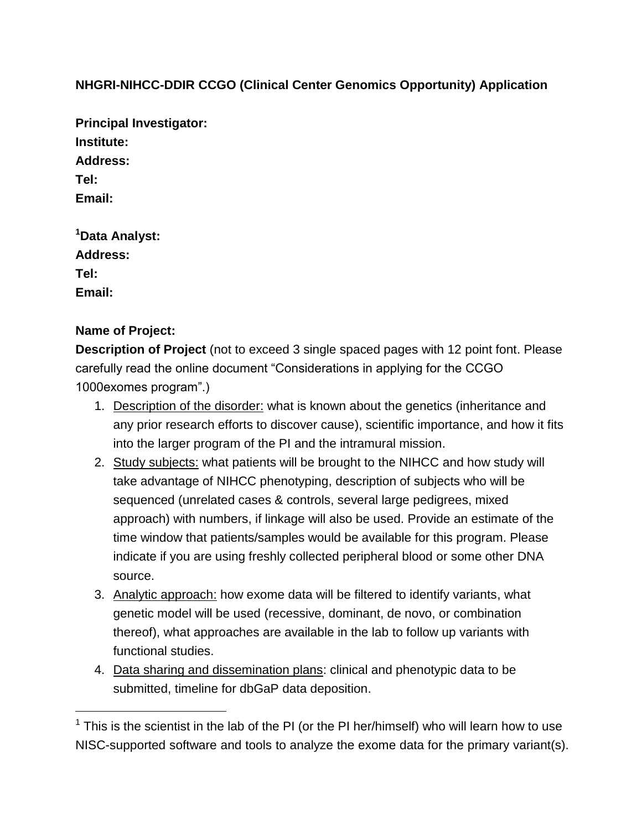## **NHGRI-NIHCC-DDIR CCGO (Clinical Center Genomics Opportunity) Application**

**Principal Investigator: Institute: Address: Tel: Email: <sup>1</sup>Data Analyst:** 

**Address: Tel:**

**Email:**

 $\overline{a}$ 

## **Name of Project:**

**Description of Project** (not to exceed 3 single spaced pages with 12 point font. Please carefully read the online document "Considerations in applying for the CCGO 1000exomes program".)

- 1. Description of the disorder: what is known about the genetics (inheritance and any prior research efforts to discover cause), scientific importance, and how it fits into the larger program of the PI and the intramural mission.
- 2. Study subjects: what patients will be brought to the NIHCC and how study will take advantage of NIHCC phenotyping, description of subjects who will be sequenced (unrelated cases & controls, several large pedigrees, mixed approach) with numbers, if linkage will also be used. Provide an estimate of the time window that patients/samples would be available for this program. Please indicate if you are using freshly collected peripheral blood or some other DNA source.
- 3. Analytic approach: how exome data will be filtered to identify variants, what genetic model will be used (recessive, dominant, de novo, or combination thereof), what approaches are available in the lab to follow up variants with functional studies.
- 4. Data sharing and dissemination plans: clinical and phenotypic data to be submitted, timeline for dbGaP data deposition.

 $1$  This is the scientist in the lab of the PI (or the PI her/himself) who will learn how to use NISC-supported software and tools to analyze the exome data for the primary variant(s).